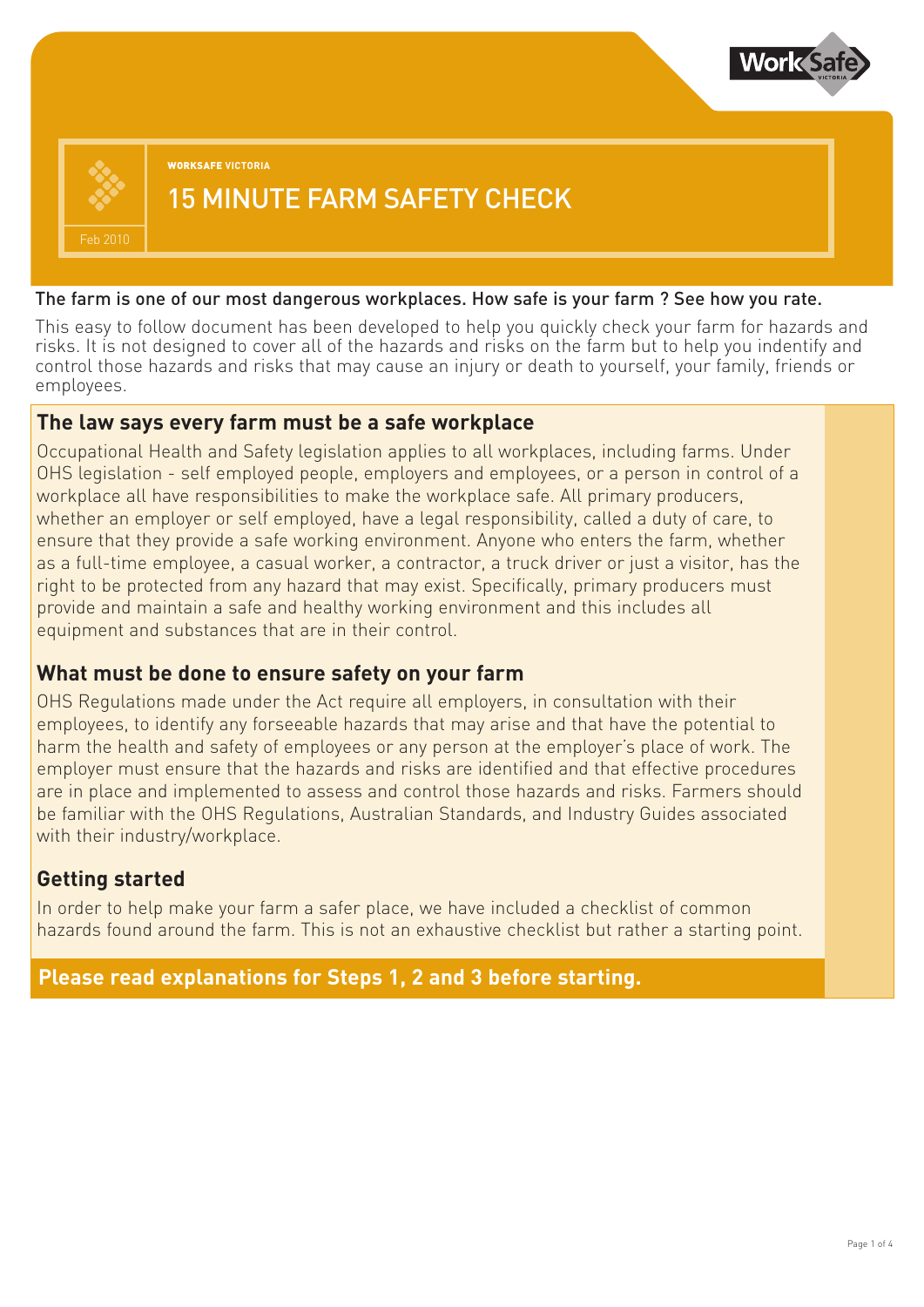

**WORKSAFE VICTORIA**

## 15 MINUTE FARM SAFETY CHECK

#### The farm is one of our most dangerous workplaces. How safe is your farm ? See how you rate.

This easy to follow document has been developed to help you quickly check your farm for hazards and risks. It is not designed to cover all of the hazards and risks on the farm but to help you indentify and control those hazards and risks that may cause an injury or death to yourself, your family, friends or employees.

#### **The law says every farm must be a safe workplace**

Occupational Health and Safety legislation applies to all workplaces, including farms. Under OHS legislation - self employed people, employers and employees, or a person in control of a workplace all have responsibilities to make the workplace safe. All primary producers, whether an employer or self employed, have a legal responsibility, called a duty of care, to ensure that they provide a safe working environment. Anyone who enters the farm, whether as a full-time employee, a casual worker, a contractor, a truck driver or just a visitor, has the right to be protected from any hazard that may exist. Specifically, primary producers must provide and maintain a safe and healthy working environment and this includes all equipment and substances that are in their control.

### **What must be done to ensure safety on your farm**

OHS Regulations made under the Act require all employers, in consultation with their employees, to identify any forseeable hazards that may arise and that have the potential to harm the health and safety of employees or any person at the employer's place of work. The employer must ensure that the hazards and risks are identified and that effective procedures are in place and implemented to assess and control those hazards and risks. Farmers should be familiar with the OHS Regulations, Australian Standards, and Industry Guides associated with their industry/workplace.

### **Getting started**

In order to help make your farm a safer place, we have included a checklist of common hazards found around the farm. This is not an exhaustive checklist but rather a starting point.

**Please read explanations for Steps 1, 2 and 3 before starting.**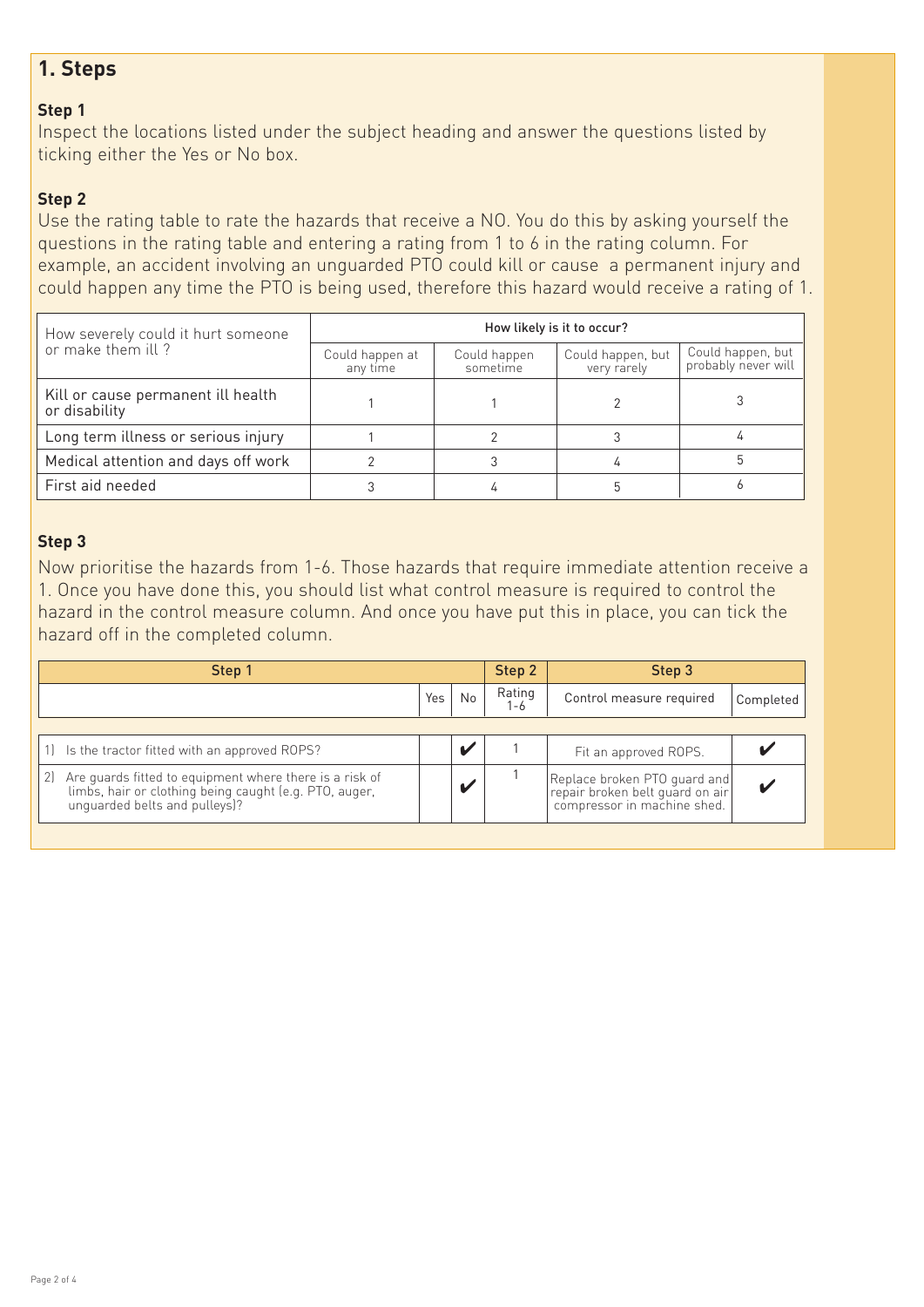## **1. Steps**

#### **Step 1**

Inspect the locations listed under the subject heading and answer the questions listed by ticking either the Yes or No box.

#### **Step 2**

Use the rating table to rate the hazards that receive a NO. You do this by asking yourself the questions in the rating table and entering a rating from 1 to 6 in the rating column. For example, an accident involving an unguarded PTO could kill or cause a permanent injury and could happen any time the PTO is being used, therefore this hazard would receive a rating of 1.

| How severely could it hurt someone                  | How likely is it to occur?  |                          |                                  |                                          |  |  |  |  |
|-----------------------------------------------------|-----------------------------|--------------------------|----------------------------------|------------------------------------------|--|--|--|--|
| or make them ill?                                   | Could happen at<br>any time | Could happen<br>sometime | Could happen, but<br>very rarely | Could happen, but<br>probably never will |  |  |  |  |
| Kill or cause permanent ill health<br>or disability |                             |                          |                                  |                                          |  |  |  |  |
| Long term illness or serious injury                 |                             |                          |                                  |                                          |  |  |  |  |
| Medical attention and days off work                 |                             |                          |                                  |                                          |  |  |  |  |
| First aid needed                                    |                             | 4                        |                                  |                                          |  |  |  |  |

#### **Step 3**

Now prioritise the hazards from 1-6. Those hazards that require immediate attention receive a 1. Once you have done this, you should list what control measure is required to control the hazard in the control measure column. And once you have put this in place, you can tick the hazard off in the completed column.

| Step 1                                                                                                                                                   |     |                | Step 2 | Step 3                                                                                                                                 |           |  |
|----------------------------------------------------------------------------------------------------------------------------------------------------------|-----|----------------|--------|----------------------------------------------------------------------------------------------------------------------------------------|-----------|--|
|                                                                                                                                                          | Yes | N <sub>0</sub> | Rating | Control measure required                                                                                                               | Completed |  |
|                                                                                                                                                          |     |                |        |                                                                                                                                        |           |  |
| Is the tractor fitted with an approved ROPS?                                                                                                             |     |                |        | Fit an approved ROPS.                                                                                                                  |           |  |
| Are guards fitted to equipment where there is a risk of<br>21<br>limbs, hair or clothing being caught (e.g. PTO, auger,<br>unquarded belts and pulleys)? |     |                |        | Replace broken PTO quard and<br>replace broken belt guard on air<br>  repair broken belt guard on air<br>  compressor in machine shed. |           |  |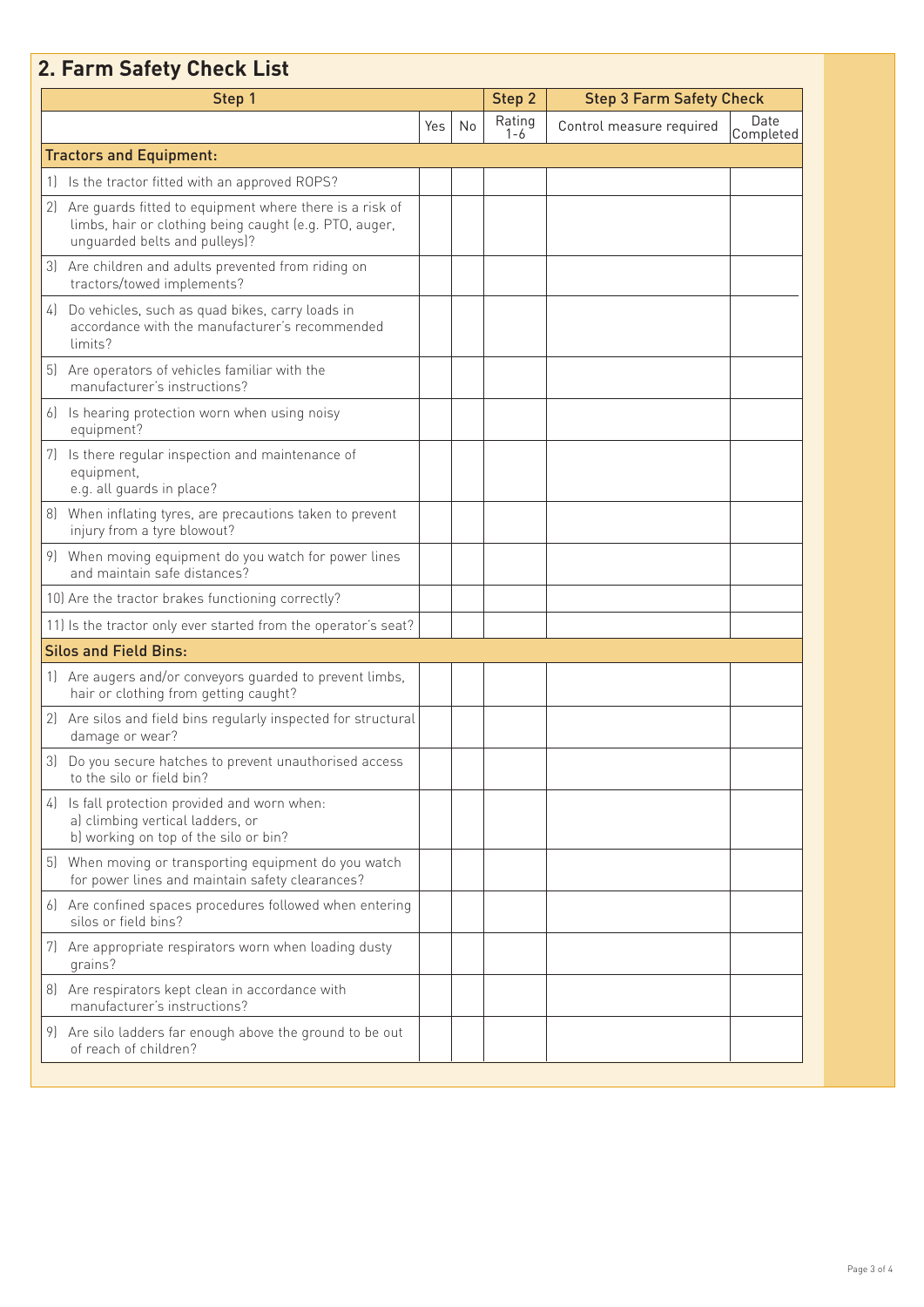# **2. Farm Safety Check List**

|    | Step 1                                                                                                                                             |     | Step 2 | <b>Step 3 Farm Safety Check</b> |                          |                   |
|----|----------------------------------------------------------------------------------------------------------------------------------------------------|-----|--------|---------------------------------|--------------------------|-------------------|
|    |                                                                                                                                                    | Yes | No     | Rating<br>1-6                   | Control measure required | Date<br>Completed |
|    | <b>Tractors and Equipment:</b>                                                                                                                     |     |        |                                 |                          |                   |
|    | 1) Is the tractor fitted with an approved ROPS?                                                                                                    |     |        |                                 |                          |                   |
| 21 | Are quards fitted to equipment where there is a risk of<br>limbs, hair or clothing being caught (e.g. PTO, auger,<br>unguarded belts and pulleys)? |     |        |                                 |                          |                   |
| 31 | Are children and adults prevented from riding on<br>tractors/towed implements?                                                                     |     |        |                                 |                          |                   |
| 4  | Do vehicles, such as quad bikes, carry loads in<br>accordance with the manufacturer's recommended<br>limits?                                       |     |        |                                 |                          |                   |
|    | 5) Are operators of vehicles familiar with the<br>manufacturer's instructions?                                                                     |     |        |                                 |                          |                   |
| 6J | Is hearing protection worn when using noisy<br>equipment?                                                                                          |     |        |                                 |                          |                   |
|    | Is there regular inspection and maintenance of<br>equipment,<br>e.g. all guards in place?                                                          |     |        |                                 |                          |                   |
| 81 | When inflating tyres, are precautions taken to prevent<br>injury from a tyre blowout?                                                              |     |        |                                 |                          |                   |
|    | 9) When moving equipment do you watch for power lines<br>and maintain safe distances?                                                              |     |        |                                 |                          |                   |
|    | 10) Are the tractor brakes functioning correctly?                                                                                                  |     |        |                                 |                          |                   |
|    | 11) Is the tractor only ever started from the operator's seat?                                                                                     |     |        |                                 |                          |                   |
|    | <b>Silos and Field Bins:</b>                                                                                                                       |     |        |                                 |                          |                   |
| 1  | Are augers and/or conveyors guarded to prevent limbs,<br>hair or clothing from getting caught?                                                     |     |        |                                 |                          |                   |
|    | 2) Are silos and field bins regularly inspected for structural<br>damage or wear?                                                                  |     |        |                                 |                          |                   |
| 3) | Do you secure hatches to prevent unauthorised access<br>to the silo or field bin?                                                                  |     |        |                                 |                          |                   |
|    | 4) Is fall protection provided and worn when:<br>a) climbing vertical ladders, or<br>b) working on top of the silo or bin?                         |     |        |                                 |                          |                   |
| 5) | When moving or transporting equipment do you watch<br>for power lines and maintain safety clearances?                                              |     |        |                                 |                          |                   |
|    | 6) Are confined spaces procedures followed when entering<br>silos or field bins?                                                                   |     |        |                                 |                          |                   |
|    | 7) Are appropriate respirators worn when loading dusty<br>grains?                                                                                  |     |        |                                 |                          |                   |
| 81 | Are respirators kept clean in accordance with<br>manufacturer's instructions?                                                                      |     |        |                                 |                          |                   |
|    | 9) Are silo ladders far enough above the ground to be out<br>of reach of children?                                                                 |     |        |                                 |                          |                   |